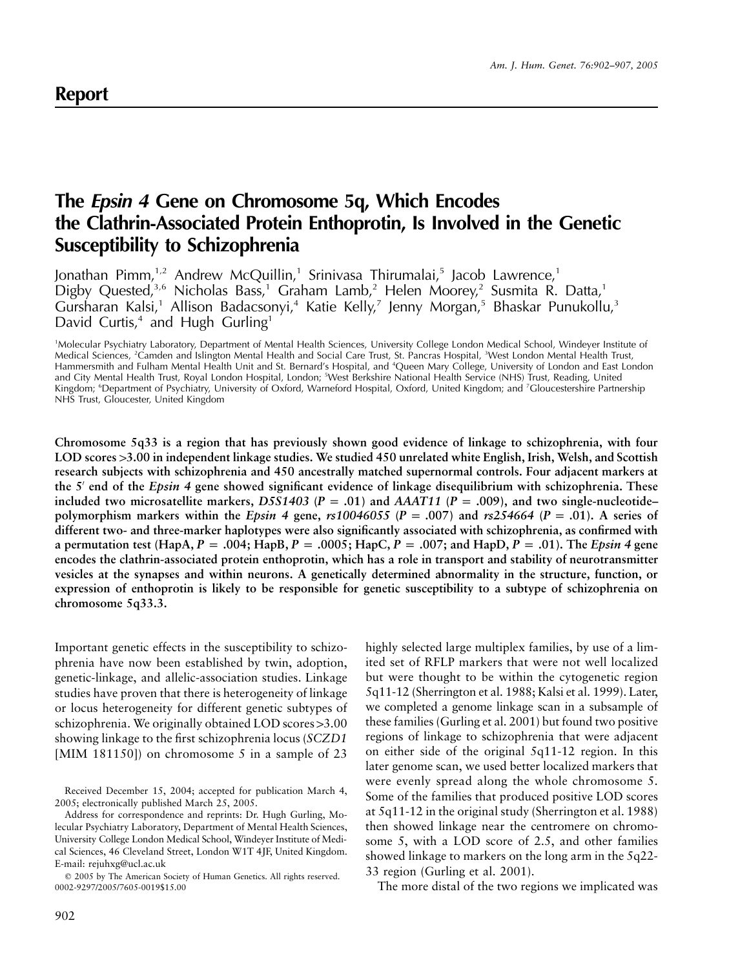# **The** *Epsin 4* **Gene on Chromosome 5q, Which Encodes the Clathrin-Associated Protein Enthoprotin, Is Involved in the Genetic Susceptibility to Schizophrenia**

Jonathan Pimm,<sup>1,2</sup> Andrew McQuillin,<sup>1</sup> Srinivasa Thirumalai,<sup>5</sup> Jacob Lawrence,<sup>1</sup> Digby Quested,<sup>3,6</sup> Nicholas Bass,<sup>1</sup> Graham Lamb,<sup>2</sup> Helen Moorey,<sup>2</sup> Susmita R. Datta,<sup>1</sup> Gursharan Kalsi,<sup>1</sup> Allison Badacsonyi,<sup>4</sup> Katie Kelly,<sup>7</sup> Jenny Morgan,<sup>5</sup> Bhaskar Punukollu,<sup>3</sup> David Curtis,<sup>4</sup> and Hugh Gurling<sup>1</sup>

1 Molecular Psychiatry Laboratory, Department of Mental Health Sciences, University College London Medical School, Windeyer Institute of Medical Sciences, <sup>2</sup>Camden and Islington Mental Health and Social Care Trust, St. Pancras Hospital, <sup>3</sup>West London Mental Health Trust, Hammersmith and Fulham Mental Health Unit and St. Bernard's Hospital, and <sup>4</sup> Queen Mary College, University of London and East London and City Mental Health Trust, Royal London Hospital, London; <sup>s</sup>West Berkshire National Health Service (NHS) Trust, Reading, United Kingdom; <sup>6</sup>Department of Psychiatry, University of Oxford, Warneford Hospital, Oxford, United Kingdom; and <sup>7</sup>Gloucestershire Partnership NHS Trust, Gloucester, United Kingdom

**Chromosome 5q33 is a region that has previously shown good evidence of linkage to schizophrenia, with four LOD scores** 1**3.00 in independent linkage studies. We studied 450 unrelated white English, Irish, Welsh, and Scottish research subjects with schizophrenia and 450 ancestrally matched supernormal controls. Four adjacent markers at the 5 end of the** *Epsin 4* **gene showed significant evidence of linkage disequilibrium with schizophrenia. These** included two microsatellite markers, D5S1403 ( $P = .01$ ) and  $AAAT11$  ( $P = .009$ ), and two single-nucleotide– **polymorphism markers within the** *Epsin* **4 gene,**  $rs10046055$  **(** $P = .007$ **) and**  $rs254664$  **(** $P = .01$ **). A series of different two- and three-marker haplotypes were also significantly associated with schizophrenia, as confirmed with a** permutation test (HapA,  $P = .004$ ; HapB,  $P = .0005$ ; HapC,  $P = .007$ ; and HapD,  $P = .01$ ). The *Epsin 4* gene **encodes the clathrin-associated protein enthoprotin, which has a role in transport and stability of neurotransmitter vesicles at the synapses and within neurons. A genetically determined abnormality in the structure, function, or expression of enthoprotin is likely to be responsible for genetic susceptibility to a subtype of schizophrenia on chromosome 5q33.3.**

Important genetic effects in the susceptibility to schizophrenia have now been established by twin, adoption, genetic-linkage, and allelic-association studies. Linkage studies have proven that there is heterogeneity of linkage or locus heterogeneity for different genetic subtypes of schizophrenia. We originally obtained LOD scores  $>3.00$ showing linkage to the first schizophrenia locus (*SCZD1* [MIM 181150]) on chromosome 5 in a sample of 23

highly selected large multiplex families, by use of a limited set of RFLP markers that were not well localized but were thought to be within the cytogenetic region 5q11-12 (Sherrington et al. 1988; Kalsi et al. 1999). Later, we completed a genome linkage scan in a subsample of these families (Gurling et al. 2001) but found two positive regions of linkage to schizophrenia that were adjacent on either side of the original 5q11-12 region. In this later genome scan, we used better localized markers that were evenly spread along the whole chromosome 5. Some of the families that produced positive LOD scores at 5q11-12 in the original study (Sherrington et al. 1988) then showed linkage near the centromere on chromosome 5, with a LOD score of 2.5, and other families showed linkage to markers on the long arm in the 5q22- 33 region (Gurling et al. 2001).

The more distal of the two regions we implicated was

Received December 15, 2004; accepted for publication March 4, 2005; electronically published March 25, 2005.

Address for correspondence and reprints: Dr. Hugh Gurling, Molecular Psychiatry Laboratory, Department of Mental Health Sciences, University College London Medical School, Windeyer Institute of Medical Sciences, 46 Cleveland Street, London W1T 4JF, United Kingdom. E-mail: rejuhxg@ucl.ac.uk

2005 by The American Society of Human Genetics. All rights reserved. 0002-9297/2005/7605-0019\$15.00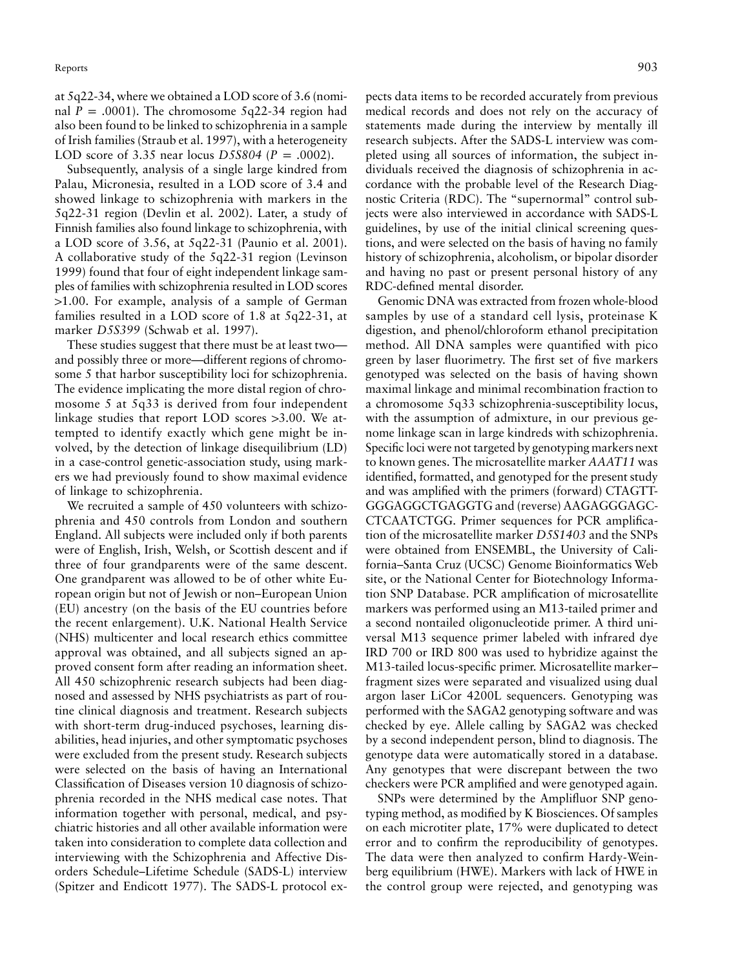at 5q22-34, where we obtained a LOD score of 3.6 (nominal  $P = .0001$ ). The chromosome 5q22-34 region had also been found to be linked to schizophrenia in a sample of Irish families (Straub et al. 1997), with a heterogeneity LOD score of 3.35 near locus *D5S804* ( $P = .0002$ ).

Subsequently, analysis of a single large kindred from Palau, Micronesia, resulted in a LOD score of 3.4 and showed linkage to schizophrenia with markers in the 5q22-31 region (Devlin et al. 2002). Later, a study of Finnish families also found linkage to schizophrenia, with a LOD score of 3.56, at 5q22-31 (Paunio et al. 2001). A collaborative study of the 5q22-31 region (Levinson 1999) found that four of eight independent linkage samples of families with schizophrenia resulted in LOD scores 11.00. For example, analysis of a sample of German families resulted in a LOD score of 1.8 at 5q22-31, at marker *D5S399* (Schwab et al. 1997).

These studies suggest that there must be at least two and possibly three or more—different regions of chromosome 5 that harbor susceptibility loci for schizophrenia. The evidence implicating the more distal region of chromosome 5 at 5q33 is derived from four independent linkage studies that report LOD scores  $>3.00$ . We attempted to identify exactly which gene might be involved, by the detection of linkage disequilibrium (LD) in a case-control genetic-association study, using markers we had previously found to show maximal evidence of linkage to schizophrenia.

We recruited a sample of 450 volunteers with schizophrenia and 450 controls from London and southern England. All subjects were included only if both parents were of English, Irish, Welsh, or Scottish descent and if three of four grandparents were of the same descent. One grandparent was allowed to be of other white European origin but not of Jewish or non–European Union (EU) ancestry (on the basis of the EU countries before the recent enlargement). U.K. National Health Service (NHS) multicenter and local research ethics committee approval was obtained, and all subjects signed an approved consent form after reading an information sheet. All 450 schizophrenic research subjects had been diagnosed and assessed by NHS psychiatrists as part of routine clinical diagnosis and treatment. Research subjects with short-term drug-induced psychoses, learning disabilities, head injuries, and other symptomatic psychoses were excluded from the present study. Research subjects were selected on the basis of having an International Classification of Diseases version 10 diagnosis of schizophrenia recorded in the NHS medical case notes. That information together with personal, medical, and psychiatric histories and all other available information were taken into consideration to complete data collection and interviewing with the Schizophrenia and Affective Disorders Schedule–Lifetime Schedule (SADS-L) interview (Spitzer and Endicott 1977). The SADS-L protocol ex-

pects data items to be recorded accurately from previous medical records and does not rely on the accuracy of statements made during the interview by mentally ill research subjects. After the SADS-L interview was completed using all sources of information, the subject individuals received the diagnosis of schizophrenia in accordance with the probable level of the Research Diagnostic Criteria (RDC). The "supernormal" control subjects were also interviewed in accordance with SADS-L guidelines, by use of the initial clinical screening questions, and were selected on the basis of having no family history of schizophrenia, alcoholism, or bipolar disorder and having no past or present personal history of any RDC-defined mental disorder.

Genomic DNA was extracted from frozen whole-blood samples by use of a standard cell lysis, proteinase K digestion, and phenol/chloroform ethanol precipitation method. All DNA samples were quantified with pico green by laser fluorimetry. The first set of five markers genotyped was selected on the basis of having shown maximal linkage and minimal recombination fraction to a chromosome 5q33 schizophrenia-susceptibility locus, with the assumption of admixture, in our previous genome linkage scan in large kindreds with schizophrenia. Specific loci were not targeted by genotyping markers next to known genes. The microsatellite marker *AAAT11* was identified, formatted, and genotyped for the present study and was amplified with the primers (forward) CTAGTT-GGGAGGCTGAGGTG and (reverse) AAGAGGGAGC-CTCAATCTGG. Primer sequences for PCR amplification of the microsatellite marker *D5S1403* and the SNPs were obtained from ENSEMBL, the University of California–Santa Cruz (UCSC) Genome Bioinformatics Web site, or the National Center for Biotechnology Information SNP Database. PCR amplification of microsatellite markers was performed using an M13-tailed primer and a second nontailed oligonucleotide primer. A third universal M13 sequence primer labeled with infrared dye IRD 700 or IRD 800 was used to hybridize against the M13-tailed locus-specific primer. Microsatellite marker– fragment sizes were separated and visualized using dual argon laser LiCor 4200L sequencers. Genotyping was performed with the SAGA2 genotyping software and was checked by eye. Allele calling by SAGA2 was checked by a second independent person, blind to diagnosis. The genotype data were automatically stored in a database. Any genotypes that were discrepant between the two checkers were PCR amplified and were genotyped again.

SNPs were determined by the Amplifluor SNP genotyping method, as modified by K Biosciences. Of samples on each microtiter plate, 17% were duplicated to detect error and to confirm the reproducibility of genotypes. The data were then analyzed to confirm Hardy-Weinberg equilibrium (HWE). Markers with lack of HWE in the control group were rejected, and genotyping was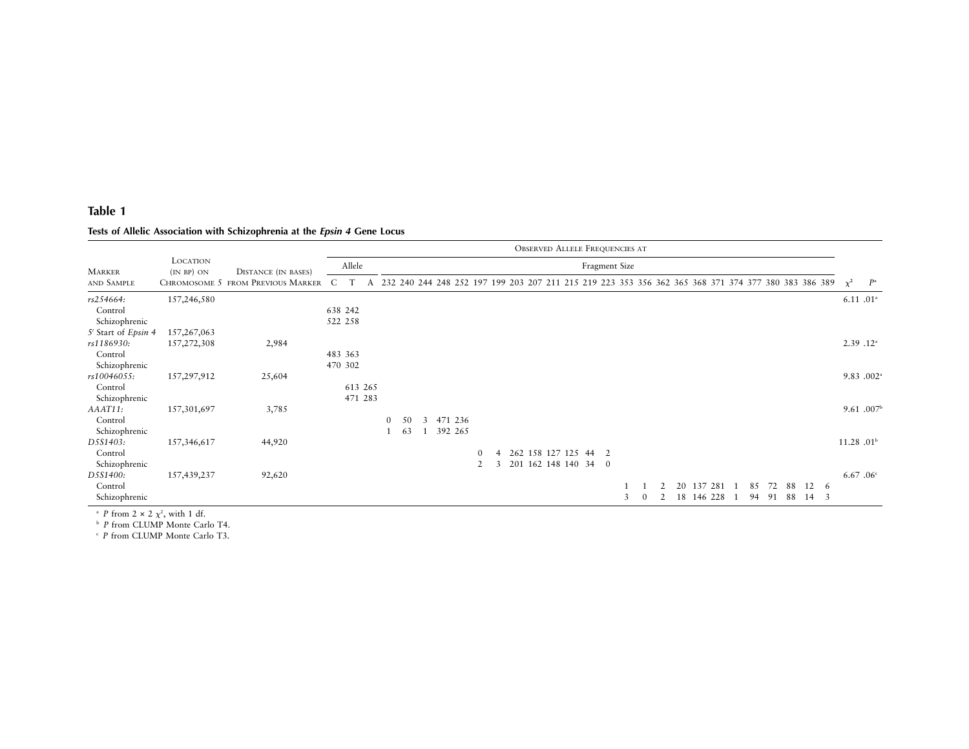# **Table 1**

## **Tests of Allelic Association with Schizophrenia at the** *Epsin <sup>4</sup>* **Gene Locus**

|                     |                               |                                   | <b>OBSERVED ALLELE FREQUENCIES AT</b> |  |               |    |   |  |                                                                                                     |          |   |  |  |                      |  |  |      |   |  |    |            |    |    |    |    |     |                       |                        |
|---------------------|-------------------------------|-----------------------------------|---------------------------------------|--|---------------|----|---|--|-----------------------------------------------------------------------------------------------------|----------|---|--|--|----------------------|--|--|------|---|--|----|------------|----|----|----|----|-----|-----------------------|------------------------|
| <b>MARKER</b>       | <b>LOCATION</b><br>(IN BP) ON | <b>DISTANCE</b> (IN BASES)        | Allele                                |  | Fragment Size |    |   |  |                                                                                                     |          |   |  |  |                      |  |  |      |   |  |    |            |    |    |    |    |     |                       |                        |
| AND SAMPLE          |                               | CHROMOSOME 5 FROM PREVIOUS MARKER |                                       |  |               |    |   |  | 232 240 244 248 252 197 199 203 207 211 215 219 223 353 356 362 365 368 371 374 377 380 383 386 389 |          |   |  |  |                      |  |  |      |   |  |    |            |    |    |    |    |     | $\chi^2$              | $P^{\rm a}$            |
| rs254664:           | 157,246,580                   |                                   |                                       |  |               |    |   |  |                                                                                                     |          |   |  |  |                      |  |  |      |   |  |    |            |    |    |    |    |     |                       | $6.11, 01^{\circ}$     |
| Control             |                               |                                   | 638 242                               |  |               |    |   |  |                                                                                                     |          |   |  |  |                      |  |  |      |   |  |    |            |    |    |    |    |     |                       |                        |
| Schizophrenic       |                               |                                   | 522 258                               |  |               |    |   |  |                                                                                                     |          |   |  |  |                      |  |  |      |   |  |    |            |    |    |    |    |     |                       |                        |
| 5' Start of Epsin 4 | 157, 267, 063                 |                                   |                                       |  |               |    |   |  |                                                                                                     |          |   |  |  |                      |  |  |      |   |  |    |            |    |    |    |    |     |                       |                        |
| rs1186930:          | 157,272,308                   | 2,984                             |                                       |  |               |    |   |  |                                                                                                     |          |   |  |  |                      |  |  |      |   |  |    |            |    |    |    |    |     |                       | 2.39.12 <sup>a</sup>   |
| Control             |                               |                                   | 483 363                               |  |               |    |   |  |                                                                                                     |          |   |  |  |                      |  |  |      |   |  |    |            |    |    |    |    |     |                       |                        |
| Schizophrenic       |                               |                                   | 470 302                               |  |               |    |   |  |                                                                                                     |          |   |  |  |                      |  |  |      |   |  |    |            |    |    |    |    |     |                       |                        |
| rs10046055:         | 157,297,912                   | 25,604                            |                                       |  |               |    |   |  |                                                                                                     |          |   |  |  |                      |  |  |      |   |  |    |            |    |    |    |    |     |                       | 9.83 .002 <sup>a</sup> |
| Control             |                               |                                   | 613 265                               |  |               |    |   |  |                                                                                                     |          |   |  |  |                      |  |  |      |   |  |    |            |    |    |    |    |     |                       |                        |
| Schizophrenic       |                               |                                   | 471 283                               |  |               |    |   |  |                                                                                                     |          |   |  |  |                      |  |  |      |   |  |    |            |    |    |    |    |     |                       |                        |
| AAAT11:             | 157,301,697                   | 3,785                             |                                       |  |               |    |   |  |                                                                                                     |          |   |  |  |                      |  |  |      |   |  |    |            |    |    |    |    |     |                       | 9.61 .007 <sup>b</sup> |
| Control             |                               |                                   |                                       |  | $\mathbf{0}$  | 50 | 3 |  | 471 236                                                                                             |          |   |  |  |                      |  |  |      |   |  |    |            |    |    |    |    |     |                       |                        |
| Schizophrenic       |                               |                                   |                                       |  |               | 63 |   |  | 392 265                                                                                             |          |   |  |  |                      |  |  |      |   |  |    |            |    |    |    |    |     |                       |                        |
| D5S1403:            | 157,346,617                   | 44,920                            |                                       |  |               |    |   |  |                                                                                                     |          |   |  |  |                      |  |  |      |   |  |    |            |    |    |    |    |     | 11.28.01 <sup>b</sup> |                        |
| Control             |                               |                                   |                                       |  |               |    |   |  |                                                                                                     | $\Omega$ |   |  |  | 262 158 127 125      |  |  | 44 2 |   |  |    |            |    |    |    |    |     |                       |                        |
| Schizophrenic       |                               |                                   |                                       |  |               |    |   |  |                                                                                                     | 2        | 3 |  |  | 201 162 148 140 34 0 |  |  |      |   |  |    |            |    |    |    |    |     |                       |                        |
| D5S1400:            | 157,439,237                   | 92,620                            |                                       |  |               |    |   |  |                                                                                                     |          |   |  |  |                      |  |  |      |   |  |    |            |    |    |    |    |     |                       | 6.67.06c               |
| Control             |                               |                                   |                                       |  |               |    |   |  |                                                                                                     |          |   |  |  |                      |  |  |      |   |  | 20 | 137 281    | 85 | 72 | 88 | 12 | - 6 |                       |                        |
| Schizophrenic       |                               |                                   |                                       |  |               |    |   |  |                                                                                                     |          |   |  |  |                      |  |  |      | 3 |  |    | 18 146 228 | 94 | 91 | 88 | 14 | -3  |                       |                        |

<sup>a</sup> *P* from 2 × 2  $\chi^2$ , with 1 df.<br><sup>b</sup> *P* from CLUMP Monte Carlo T4.

c *P* from CLUMP Monte Carlo T3.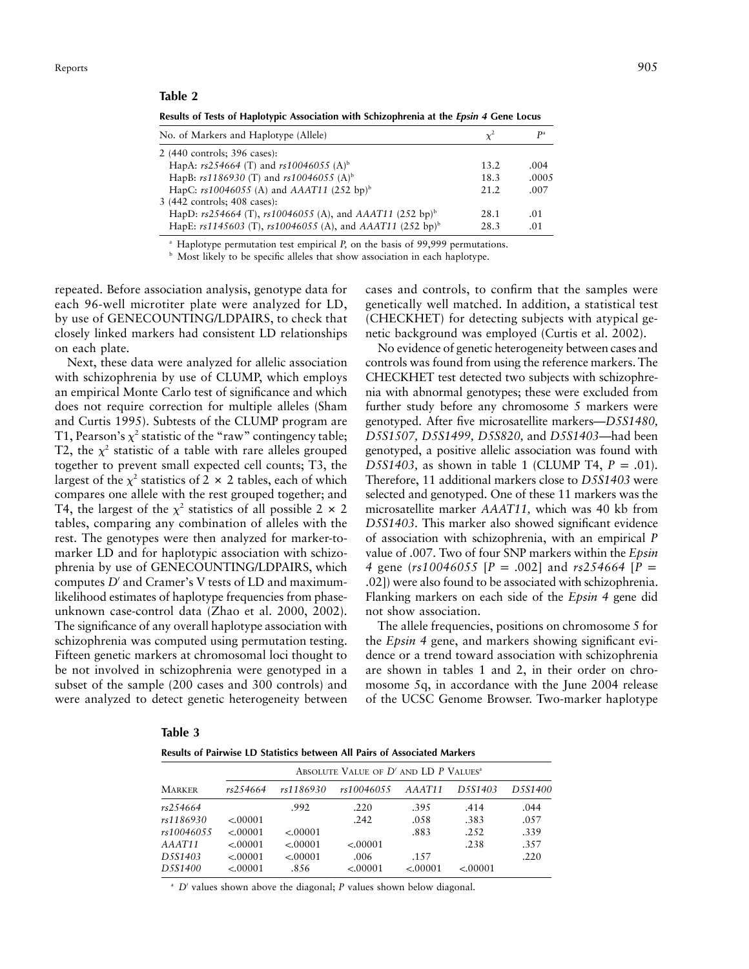#### **Table 2**

| No. of Markers and Haplotype (Allele)                                    |      | P <sup>a</sup> |
|--------------------------------------------------------------------------|------|----------------|
| 2 (440 controls; 396 cases):                                             |      |                |
| HapA: $rs254664$ (T) and $rs10046055$ (A) <sup>b</sup>                   | 13.2 | .004           |
| HapB: $rs1186930$ (T) and $rs10046055$ (A) <sup>b</sup>                  | 18.3 | .0005          |
| HapC: $rs10046055$ (A) and AAAT11 (252 bp) <sup>b</sup>                  | 21.2 | .007           |
| 3 (442 controls; 408 cases):                                             |      |                |
| HapD: $rs254664$ (T), $rs10046055$ (A), and AAAT11 (252 bp) <sup>b</sup> | 28.1 | .01            |
| HapE: rs1145603 (T), rs10046055 (A), and AAAT11 (252 bp) <sup>b</sup>    | 28.3 | .01            |
|                                                                          |      |                |

**Results of Tests of Haplotypic Association with Schizophrenia at the** *Epsin 4* **Gene Locus**

<sup>a</sup> Haplotype permutation test empirical *P,* on the basis of 99,999 permutations.

**b** Most likely to be specific alleles that show association in each haplotype.

repeated. Before association analysis, genotype data for each 96-well microtiter plate were analyzed for LD, by use of GENECOUNTING/LDPAIRS, to check that closely linked markers had consistent LD relationships on each plate.

Next, these data were analyzed for allelic association with schizophrenia by use of CLUMP, which employs an empirical Monte Carlo test of significance and which does not require correction for multiple alleles (Sham and Curtis 1995). Subtests of the CLUMP program are T1, Pearson's  $\chi^2$  statistic of the "raw" contingency table; T2, the  $\chi^2$  statistic of a table with rare alleles grouped together to prevent small expected cell counts; T3, the largest of the  $\chi^2$  statistics of 2  $\times$  2 tables, each of which compares one allele with the rest grouped together; and T4, the largest of the  $\chi^2$  statistics of all possible 2  $\times$  2 tables, comparing any combination of alleles with the rest. The genotypes were then analyzed for marker-tomarker LD and for haplotypic association with schizophrenia by use of GENECOUNTING/LDPAIRS, which computes *D'* and Cramer's V tests of LD and maximumlikelihood estimates of haplotype frequencies from phaseunknown case-control data (Zhao et al. 2000, 2002). The significance of any overall haplotype association with schizophrenia was computed using permutation testing. Fifteen genetic markers at chromosomal loci thought to be not involved in schizophrenia were genotyped in a subset of the sample (200 cases and 300 controls) and were analyzed to detect genetic heterogeneity between

cases and controls, to confirm that the samples were genetically well matched. In addition, a statistical test (CHECKHET) for detecting subjects with atypical genetic background was employed (Curtis et al. 2002).

No evidence of genetic heterogeneity between cases and controls was found from using the reference markers. The CHECKHET test detected two subjects with schizophrenia with abnormal genotypes; these were excluded from further study before any chromosome 5 markers were genotyped. After five microsatellite markers—*D5S1480, D5S1507, D5S1499, D5S820,* and *D5S1403*—had been genotyped, a positive allelic association was found with *D5S1403*, as shown in table 1 (CLUMP T4,  $P = .01$ ). Therefore, 11 additional markers close to *D5S1403* were selected and genotyped. One of these 11 markers was the microsatellite marker *AAAT11,* which was 40 kb from *D5S1403.* This marker also showed significant evidence of association with schizophrenia, with an empirical *P* value of .007. Two of four SNP markers within the *Epsin 4* gene ( $rs10046055$  [ $P = .002$ ] and  $rs254664$  [ $P =$ .02]) were also found to be associated with schizophrenia. Flanking markers on each side of the *Epsin 4* gene did not show association.

The allele frequencies, positions on chromosome 5 for the *Epsin 4* gene, and markers showing significant evidence or a trend toward association with schizophrenia are shown in tables 1 and 2, in their order on chromosome 5q, in accordance with the June 2004 release of the UCSC Genome Browser. Two-marker haplotype

| Ш<br>m |  |
|--------|--|
|--------|--|

**Results of Pairwise LD Statistics between All Pairs of Associated Markers**

|               |          | ABSOLUTE VALUE OF D'AND LD P VALUES <sup>a</sup> |            |         |                                   |         |  |  |  |  |  |  |  |
|---------------|----------|--------------------------------------------------|------------|---------|-----------------------------------|---------|--|--|--|--|--|--|--|
| <b>MARKER</b> | rs254664 | rs1186930                                        | rs10046055 | AAAT11  | D <sub>5</sub> S <sub>140</sub> 3 | D5S1400 |  |  |  |  |  |  |  |
| rs254664      |          | .992                                             | .220       | .395    | .414                              | .044    |  |  |  |  |  |  |  |
| rs1186930     | < 00001  |                                                  | .242       | .058    | .383                              | .057    |  |  |  |  |  |  |  |
| rs10046055    | < 00001  | < 00001                                          |            | .883    | .2.52                             | .339    |  |  |  |  |  |  |  |
| AAAT11        | < 00001  | < 00001                                          | < 00001    |         | .238                              | .357    |  |  |  |  |  |  |  |
| D5S1403       | < 00001  | < 00001                                          | .006       | .157    |                                   | .220    |  |  |  |  |  |  |  |
| D5S1400       | < 00001  | .856                                             | < 00001    | < 00001 | < 00001                           |         |  |  |  |  |  |  |  |

 $\Delta$ <sup>a</sup> *D'* values shown above the diagonal; *P* values shown below diagonal.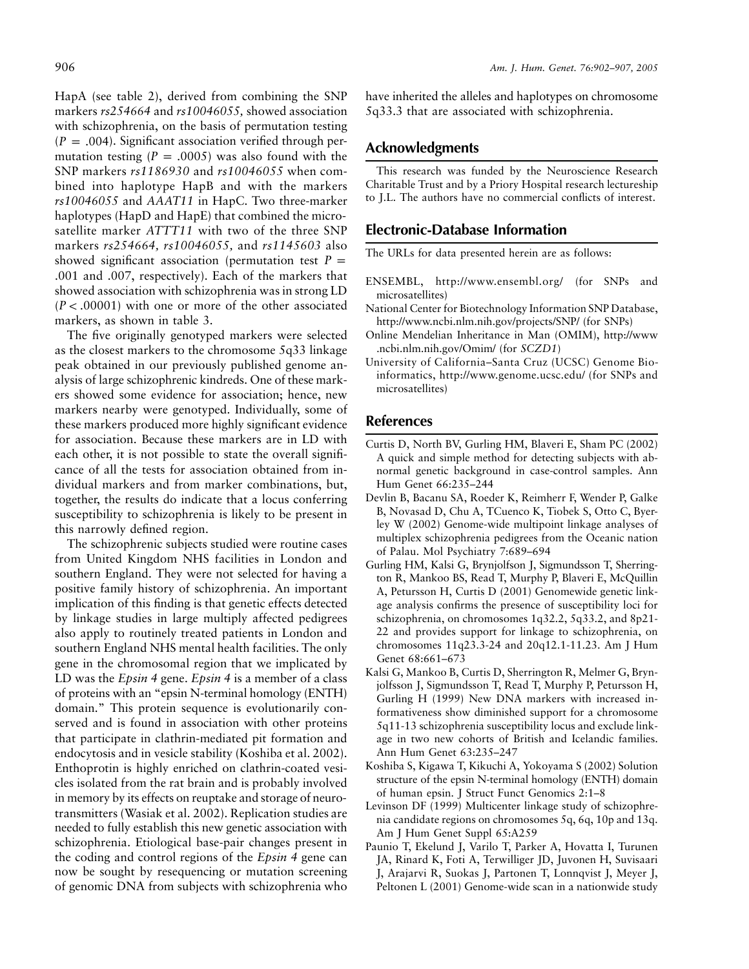HapA (see table 2), derived from combining the SNP markers *rs254664* and *rs10046055,* showed association with schizophrenia, on the basis of permutation testing  $(P = .004)$ . Significant association verified through permutation testing  $(P = .0005)$  was also found with the SNP markers *rs1186930* and *rs10046055* when combined into haplotype HapB and with the markers *rs10046055* and *AAAT11* in HapC. Two three-marker haplotypes (HapD and HapE) that combined the microsatellite marker *ATTT11* with two of the three SNP markers *rs254664, rs10046055,* and *rs1145603* also showed significant association (permutation test  $P =$ .001 and .007, respectively). Each of the markers that showed association with schizophrenia was in strong LD  $(P < .00001)$  with one or more of the other associated markers, as shown in table 3.

The five originally genotyped markers were selected as the closest markers to the chromosome 5q33 linkage peak obtained in our previously published genome analysis of large schizophrenic kindreds. One of these markers showed some evidence for association; hence, new markers nearby were genotyped. Individually, some of these markers produced more highly significant evidence for association. Because these markers are in LD with each other, it is not possible to state the overall significance of all the tests for association obtained from individual markers and from marker combinations, but, together, the results do indicate that a locus conferring susceptibility to schizophrenia is likely to be present in this narrowly defined region.

The schizophrenic subjects studied were routine cases from United Kingdom NHS facilities in London and southern England. They were not selected for having a positive family history of schizophrenia. An important implication of this finding is that genetic effects detected by linkage studies in large multiply affected pedigrees also apply to routinely treated patients in London and southern England NHS mental health facilities. The only gene in the chromosomal region that we implicated by LD was the *Epsin 4* gene. *Epsin 4* is a member of a class of proteins with an "epsin N-terminal homology (ENTH) domain." This protein sequence is evolutionarily conserved and is found in association with other proteins that participate in clathrin-mediated pit formation and endocytosis and in vesicle stability (Koshiba et al. 2002). Enthoprotin is highly enriched on clathrin-coated vesicles isolated from the rat brain and is probably involved in memory by its effects on reuptake and storage of neurotransmitters (Wasiak et al. 2002). Replication studies are needed to fully establish this new genetic association with schizophrenia. Etiological base-pair changes present in the coding and control regions of the *Epsin 4* gene can now be sought by resequencing or mutation screening of genomic DNA from subjects with schizophrenia who have inherited the alleles and haplotypes on chromosome 5q33.3 that are associated with schizophrenia.

## **Acknowledgments**

This research was funded by the Neuroscience Research Charitable Trust and by a Priory Hospital research lectureship to J.L. The authors have no commercial conflicts of interest.

# **Electronic-Database Information**

The URLs for data presented herein are as follows:

- ENSEMBL, http://www.ensembl.org/ (for SNPs and microsatellites)
- National Center for Biotechnology Information SNP Database, http://www.ncbi.nlm.nih.gov/projects/SNP/ (for SNPs)
- Online Mendelian Inheritance in Man (OMIM), http://www .ncbi.nlm.nih.gov/Omim/ (for *SCZD1*)
- University of California–Santa Cruz (UCSC) Genome Bioinformatics, http://www.genome.ucsc.edu/ (for SNPs and microsatellites)

# **References**

- Curtis D, North BV, Gurling HM, Blaveri E, Sham PC (2002) A quick and simple method for detecting subjects with abnormal genetic background in case-control samples. Ann Hum Genet 66:235–244
- Devlin B, Bacanu SA, Roeder K, Reimherr F, Wender P, Galke B, Novasad D, Chu A, TCuenco K, Tiobek S, Otto C, Byerley W (2002) Genome-wide multipoint linkage analyses of multiplex schizophrenia pedigrees from the Oceanic nation of Palau. Mol Psychiatry 7:689–694
- Gurling HM, Kalsi G, Brynjolfson J, Sigmundsson T, Sherrington R, Mankoo BS, Read T, Murphy P, Blaveri E, McQuillin A, Petursson H, Curtis D (2001) Genomewide genetic linkage analysis confirms the presence of susceptibility loci for schizophrenia, on chromosomes 1q32.2, 5q33.2, and 8p21- 22 and provides support for linkage to schizophrenia, on chromosomes 11q23.3-24 and 20q12.1-11.23. Am J Hum Genet 68:661–673
- Kalsi G, Mankoo B, Curtis D, Sherrington R, Melmer G, Brynjolfsson J, Sigmundsson T, Read T, Murphy P, Petursson H, Gurling H (1999) New DNA markers with increased informativeness show diminished support for a chromosome 5q11-13 schizophrenia susceptibility locus and exclude linkage in two new cohorts of British and Icelandic families. Ann Hum Genet 63:235–247
- Koshiba S, Kigawa T, Kikuchi A, Yokoyama S (2002) Solution structure of the epsin N-terminal homology (ENTH) domain of human epsin. J Struct Funct Genomics 2:1–8
- Levinson DF (1999) Multicenter linkage study of schizophrenia candidate regions on chromosomes 5q, 6q, 10p and 13q. Am J Hum Genet Suppl 65:A259
- Paunio T, Ekelund J, Varilo T, Parker A, Hovatta I, Turunen JA, Rinard K, Foti A, Terwilliger JD, Juvonen H, Suvisaari J, Arajarvi R, Suokas J, Partonen T, Lonnqvist J, Meyer J, Peltonen L (2001) Genome-wide scan in a nationwide study